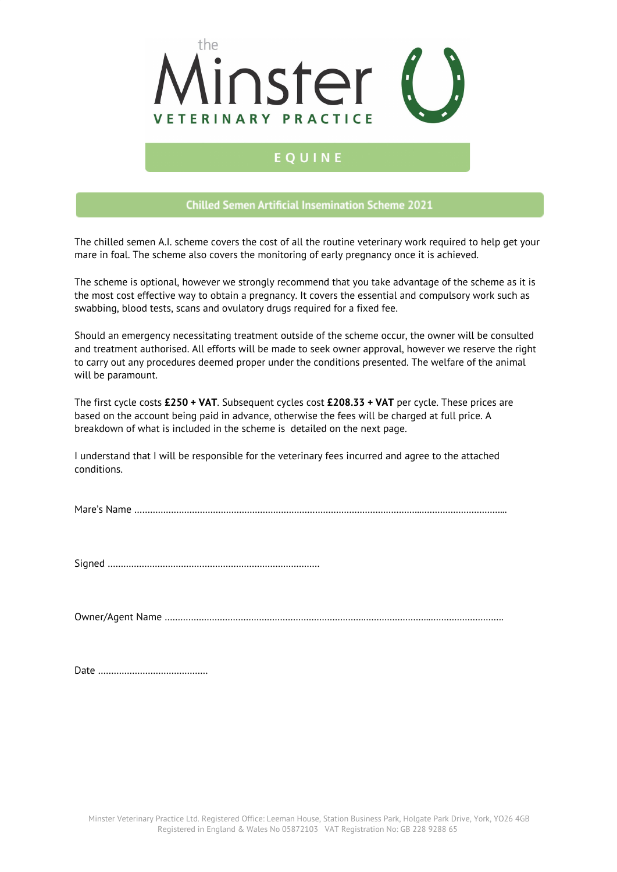

# EQUINE

## **Chilled Semen Artificial Insemination Scheme 2021**

The chilled semen A.I. scheme covers the cost of all the routine veterinary work required to help get your mare in foal. The scheme also covers the monitoring of early pregnancy once it is achieved.

The scheme is optional, however we strongly recommend that you take advantage of the scheme as it is the most cost effective way to obtain a pregnancy. It covers the essential and compulsory work such as swabbing, blood tests, scans and ovulatory drugs required for a fixed fee.

Should an emergency necessitating treatment outside of the scheme occur, the owner will be consulted and treatment authorised. All efforts will be made to seek owner approval, however we reserve the right to carry out any procedures deemed proper under the conditions presented. The welfare of the animal will be paramount.

The first cycle costs **£250 + VAT**. Subsequent cycles cost **£208.33 + VAT** per cycle. These prices are based on the account being paid in advance, otherwise the fees will be charged at full price. A breakdown of what is included in the scheme is detailed on the next page.

I understand that I will be responsible for the veterinary fees incurred and agree to the attached conditions.

Mare's Name ………………………………………………………………………………………………..…………………………...

Signed ………………………………………………………………………

Owner/Agent Name ………………………………………………………………….……………………..……………………….

Date ……………………………………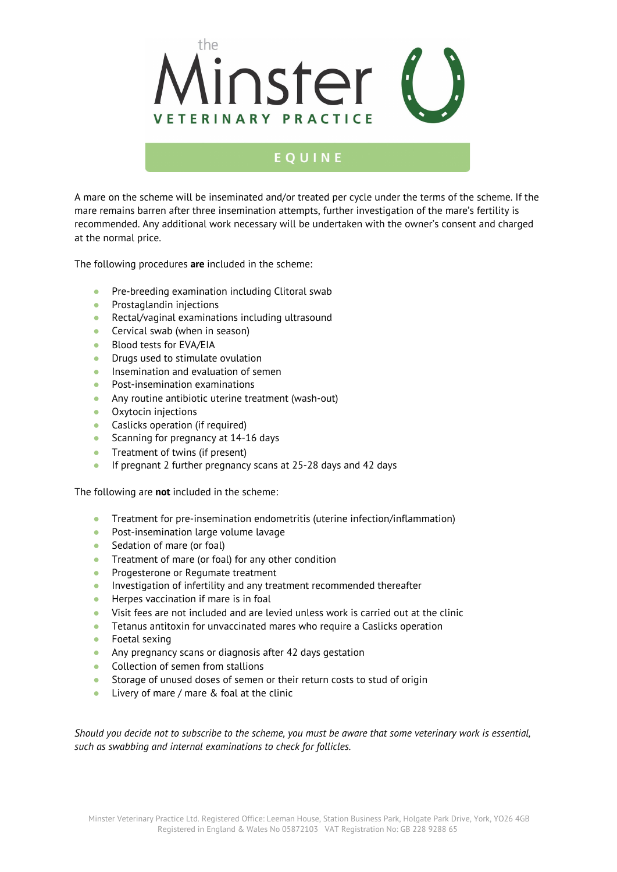

## EOUINE

A mare on the scheme will be inseminated and/or treated per cycle under the terms of the scheme. If the mare remains barren after three insemination attempts, further investigation of the mare's fertility is recommended. Any additional work necessary will be undertaken with the owner's consent and charged at the normal price.

The following procedures **are** included in the scheme:

- Pre-breeding examination including Clitoral swab
- Prostaglandin injections
- Rectal/vaginal examinations including ultrasound
- Cervical swab (when in season)
- Blood tests for EVA/EIA
- Drugs used to stimulate ovulation
- **•** Insemination and evaluation of semen
- Post-insemination examinations
- Any routine antibiotic uterine treatment (wash-out)
- Oxytocin injections
- Caslicks operation (if required)
- Scanning for pregnancy at 14-16 days
- Treatment of twins (if present)
- If pregnant 2 further pregnancy scans at 25-28 days and 42 days

The following are **not** included in the scheme:

- Treatment for pre-insemination endometritis (uterine infection/inflammation)
- Post-insemination large volume lavage
- Sedation of mare (or foal)
- Treatment of mare (or foal) for any other condition
- Progesterone or Regumate treatment
- Investigation of infertility and any treatment recommended thereafter
- Herpes vaccination if mare is in foal
- Visit fees are not included and are levied unless work is carried out at the clinic
- Tetanus antitoxin for unvaccinated mares who require a Caslicks operation
- Foetal sexing
- Any pregnancy scans or diagnosis after 42 days gestation
- Collection of semen from stallions
- Storage of unused doses of semen or their return costs to stud of origin
- Livery of mare / mare & foal at the clinic

Should you decide not to subscribe to the scheme, you must be aware that some veterinary work is essential, *such as swabbing and internal examinations to check for follicles.*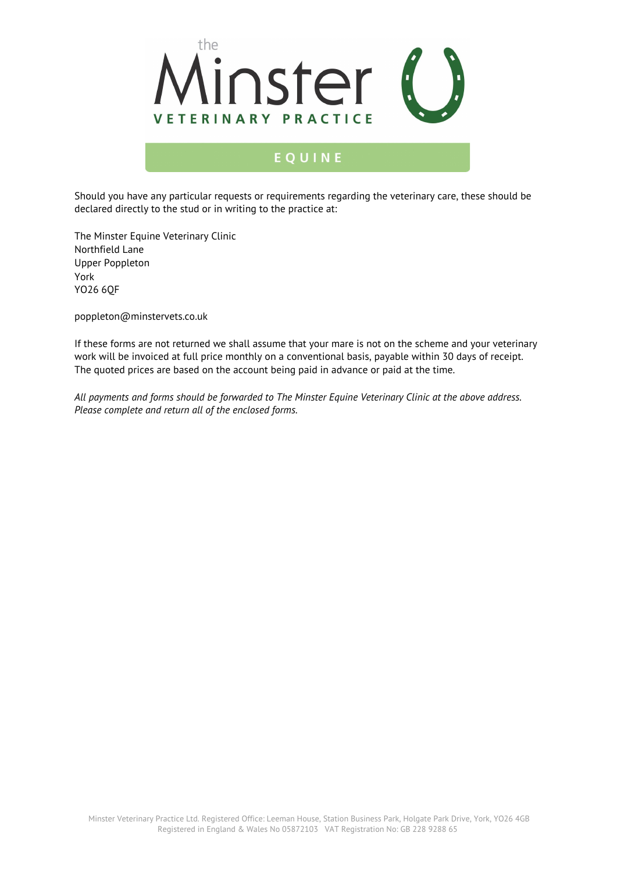

# EQUINE

Should you have any particular requests or requirements regarding the veterinary care, these should be declared directly to the stud or in writing to the practice at:

The Minster Equine Veterinary Clinic Northfield Lane Upper Poppleton York YO26 6QF

poppleton@minstervets.co.uk

If these forms are not returned we shall assume that your mare is not on the scheme and your veterinary work will be invoiced at full price monthly on a conventional basis, payable within 30 days of receipt. The quoted prices are based on the account being paid in advance or paid at the time.

*All payments and forms should be forwarded to The Minster Equine Veterinary Clinic at the above address. Please complete and return all of the enclosed forms.*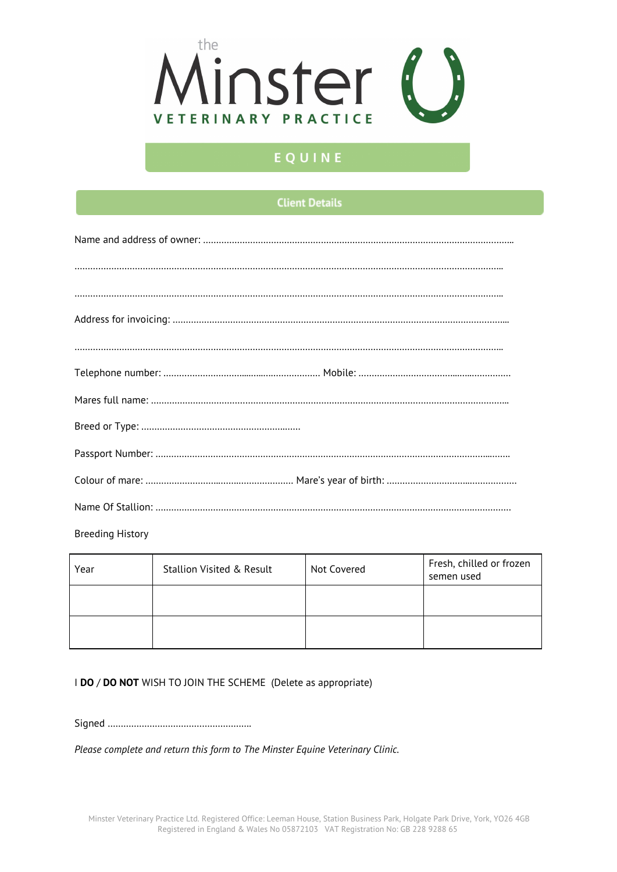

# EQUINE

## **Client Details**

| $\begin{minipage}{0.9\linewidth} \begin{tabular}{l} \hline \textbf{0.01} \end{tabular} \end{minipage} \begin{tabular}{l} \hline \textbf{1.01} \end{tabular} \end{minipage} \begin{tabular}{l} \hline \textbf{1.01} \end{tabular} \end{minipage} \begin{tabular}{l} \hline \textbf{2.01} \end{tabular} \end{minipage} \begin{tabular}{l} \hline \textbf{3.01} \end{tabular} \end{minipage} \begin{tabular}{l} \hline \textbf{4.01} \end{tabular} \end{minipage} \begin{tabular}{l} \$ |  |  |  |  |
|--------------------------------------------------------------------------------------------------------------------------------------------------------------------------------------------------------------------------------------------------------------------------------------------------------------------------------------------------------------------------------------------------------------------------------------------------------------------------------------|--|--|--|--|
|                                                                                                                                                                                                                                                                                                                                                                                                                                                                                      |  |  |  |  |
|                                                                                                                                                                                                                                                                                                                                                                                                                                                                                      |  |  |  |  |
|                                                                                                                                                                                                                                                                                                                                                                                                                                                                                      |  |  |  |  |
|                                                                                                                                                                                                                                                                                                                                                                                                                                                                                      |  |  |  |  |
|                                                                                                                                                                                                                                                                                                                                                                                                                                                                                      |  |  |  |  |
|                                                                                                                                                                                                                                                                                                                                                                                                                                                                                      |  |  |  |  |
|                                                                                                                                                                                                                                                                                                                                                                                                                                                                                      |  |  |  |  |
|                                                                                                                                                                                                                                                                                                                                                                                                                                                                                      |  |  |  |  |

Breeding History

| Year | <b>Stallion Visited &amp; Result</b> | Not Covered | Fresh, chilled or frozen<br>semen used |
|------|--------------------------------------|-------------|----------------------------------------|
|      |                                      |             |                                        |
|      |                                      |             |                                        |

### I **DO** / **DO NOT** WISH TO JOIN THE SCHEME (Delete as appropriate)

Signed ……………………………………………….

*Please complete and return this form to The Minster Equine Veterinary Clinic.*